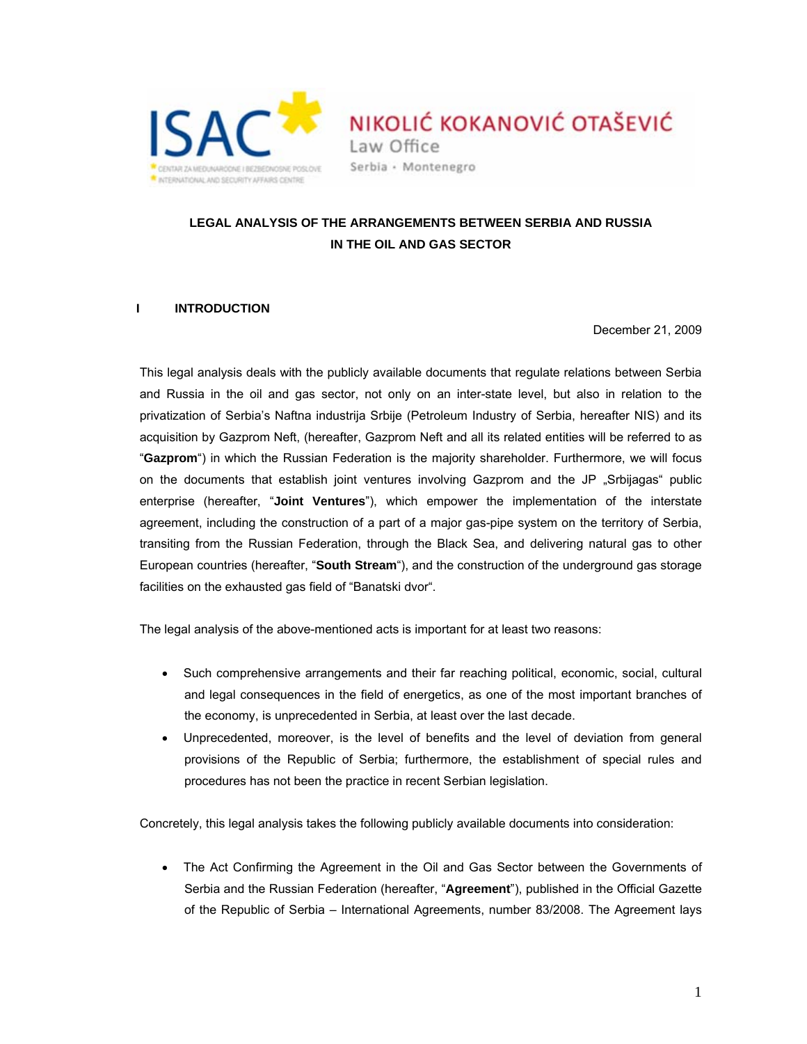

NIKOLIĆ KOKANOVIĆ OTAŠEVIĆ Law Office Serbia · Montenegro

# **LEGAL ANALYSIS OF THE ARRANGEMENTS BETWEEN SERBIA AND RUSSIA IN THE OIL AND GAS SECTOR**

## **I INTRODUCTION**

December 21, 2009

This legal analysis deals with the publicly available documents that regulate relations between Serbia and Russia in the oil and gas sector, not only on an inter-state level, but also in relation to the privatization of Serbia's Naftna industrija Srbije (Petroleum Industry of Serbia, hereafter NIS) and its acquisition by Gazprom Neft, (hereafter, Gazprom Neft and all its related entities will be referred to as "**Gazprom**") in which the Russian Federation is the majority shareholder. Furthermore, we will focus on the documents that establish joint ventures involving Gazprom and the JP "Srbijagas" public enterprise (hereafter, "**Joint Ventures**"), which empower the implementation of the interstate agreement, including the construction of a part of a major gas-pipe system on the territory of Serbia, transiting from the Russian Federation, through the Black Sea, and delivering natural gas to other European countries (hereafter, "**South Stream**"), and the construction of the underground gas storage facilities on the exhausted gas field of "Banatski dvor".

The legal analysis of the above-mentioned acts is important for at least two reasons:

- Such comprehensive arrangements and their far reaching political, economic, social, cultural and legal consequences in the field of energetics, as one of the most important branches of the economy, is unprecedented in Serbia, at least over the last decade.
- Unprecedented, moreover, is the level of benefits and the level of deviation from general provisions of the Republic of Serbia; furthermore, the establishment of special rules and procedures has not been the practice in recent Serbian legislation.

Concretely, this legal analysis takes the following publicly available documents into consideration:

• The Act Confirming the Agreement in the Oil and Gas Sector between the Governments of Serbia and the Russian Federation (hereafter, "**Agreement**"), published in the Official Gazette of the Republic of Serbia – International Agreements, number 83/2008. The Agreement lays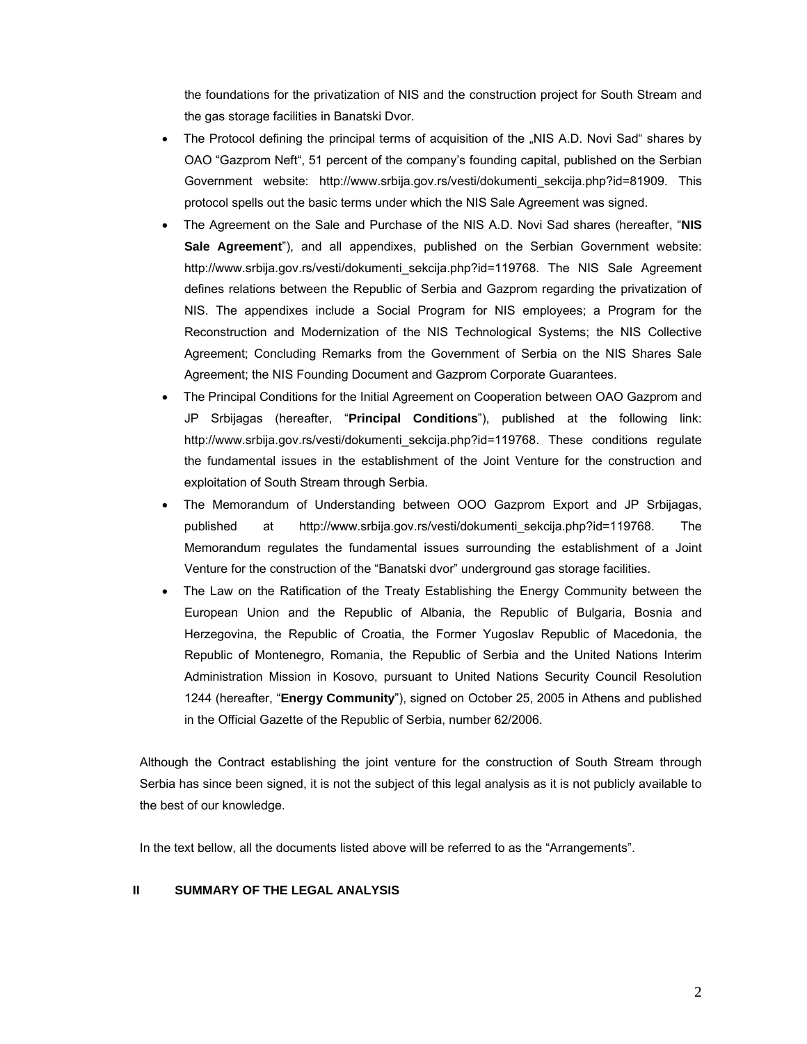the foundations for the privatization of NIS and the construction project for South Stream and the gas storage facilities in Banatski Dvor.

- The Protocol defining the principal terms of acquisition of the "NIS A.D. Novi Sad" shares by OAO "Gazprom Neft", 51 percent of the company's founding capital, published on the Serbian Government website: http://www.srbija.gov.rs/vesti/dokumenti\_sekcija.php?id=81909. This protocol spells out the basic terms under which the NIS Sale Agreement was signed.
- The Agreement on the Sale and Purchase of the NIS A.D. Novi Sad shares (hereafter, "**NIS Sale Agreement**"), and all appendixes, published on the Serbian Government website: http://www.srbija.gov.rs/vesti/dokumenti\_sekcija.php?id=119768. The NIS Sale Agreement defines relations between the Republic of Serbia and Gazprom regarding the privatization of NIS. The appendixes include a Social Program for NIS employees; a Program for the Reconstruction and Modernization of the NIS Technological Systems; the NIS Collective Agreement; Concluding Remarks from the Government of Serbia on the NIS Shares Sale Agreement; the NIS Founding Document and Gazprom Corporate Guarantees.
- The Principal Conditions for the Initial Agreement on Cooperation between OAO Gazprom and JP Srbijagas (hereafter, "**Principal Conditions**"), published at the following link: http://www.srbija.gov.rs/vesti/dokumenti sekcija.php?id=119768. These conditions regulate the fundamental issues in the establishment of the Joint Venture for the construction and exploitation of South Stream through Serbia.
- The Memorandum of Understanding between OOO Gazprom Export and JP Srbijagas, published at http://www.srbija.gov.rs/vesti/dokumenti\_sekcija.php?id=119768. The Memorandum regulates the fundamental issues surrounding the establishment of a Joint Venture for the construction of the "Banatski dvor" underground gas storage facilities.
- The Law on the Ratification of the Treaty Establishing the Energy Community between the European Union and the Republic of Albania, the Republic of Bulgaria, Bosnia and Herzegovina, the Republic of Croatia, the Former Yugoslav Republic of Macedonia, the Republic of Montenegro, Romania, the Republic of Serbia and the United Nations Interim Administration Mission in Kosovo, pursuant to United Nations Security Council Resolution 1244 (hereafter, "**Energy Community**"), signed on October 25, 2005 in Athens and published in the Official Gazette of the Republic of Serbia, number 62/2006.

Although the Contract establishing the joint venture for the construction of South Stream through Serbia has since been signed, it is not the subject of this legal analysis as it is not publicly available to the best of our knowledge.

In the text bellow, all the documents listed above will be referred to as the "Arrangements".

### **II SUMMARY OF THE LEGAL ANALYSIS**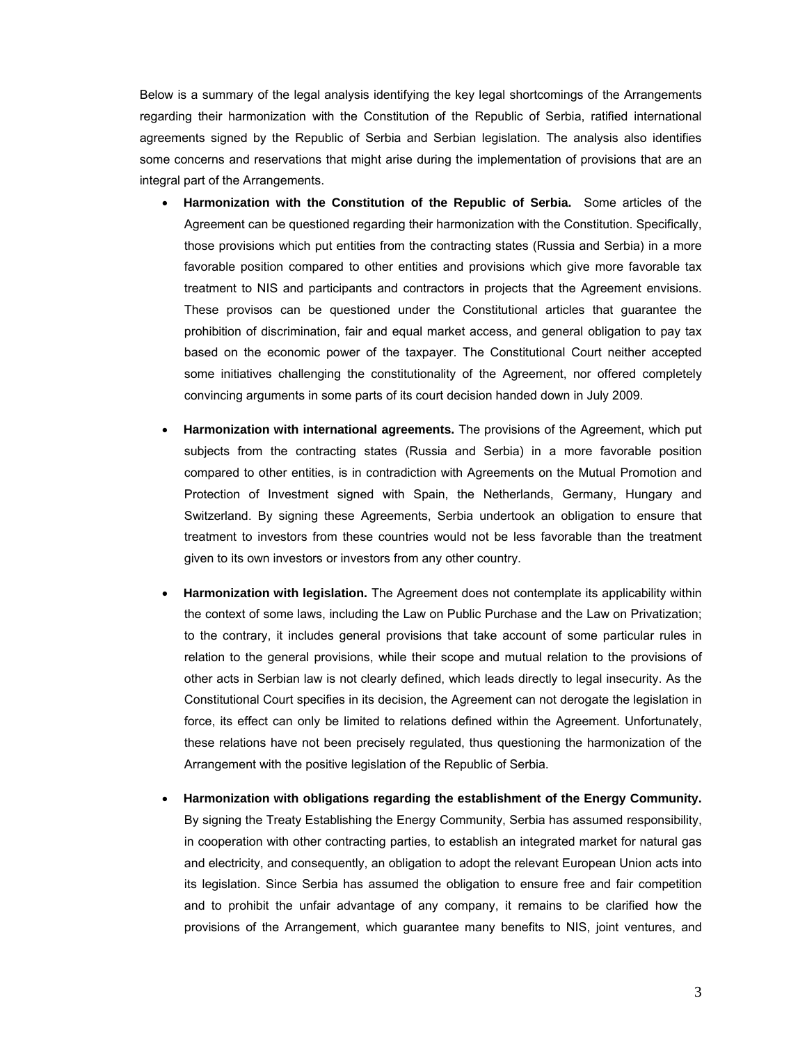Below is a summary of the legal analysis identifying the key legal shortcomings of the Arrangements regarding their harmonization with the Constitution of the Republic of Serbia, ratified international agreements signed by the Republic of Serbia and Serbian legislation. The analysis also identifies some concerns and reservations that might arise during the implementation of provisions that are an integral part of the Arrangements.

- **Harmonization with the Constitution of the Republic of Serbia.** Some articles of the Agreement can be questioned regarding their harmonization with the Constitution. Specifically, those provisions which put entities from the contracting states (Russia and Serbia) in a more favorable position compared to other entities and provisions which give more favorable tax treatment to NIS and participants and contractors in projects that the Agreement envisions. These provisos can be questioned under the Constitutional articles that guarantee the prohibition of discrimination, fair and equal market access, and general obligation to pay tax based on the economic power of the taxpayer. The Constitutional Court neither accepted some initiatives challenging the constitutionality of the Agreement, nor offered completely convincing arguments in some parts of its court decision handed down in July 2009.
- **Harmonization with international agreements.** The provisions of the Agreement, which put subjects from the contracting states (Russia and Serbia) in a more favorable position compared to other entities, is in contradiction with Agreements on the Mutual Promotion and Protection of Investment signed with Spain, the Netherlands, Germany, Hungary and Switzerland. By signing these Agreements, Serbia undertook an obligation to ensure that treatment to investors from these countries would not be less favorable than the treatment given to its own investors or investors from any other country.
- **Harmonization with legislation.** The Agreement does not contemplate its applicability within the context of some laws, including the Law on Public Purchase and the Law on Privatization; to the contrary, it includes general provisions that take account of some particular rules in relation to the general provisions, while their scope and mutual relation to the provisions of other acts in Serbian law is not clearly defined, which leads directly to legal insecurity. As the Constitutional Court specifies in its decision, the Agreement can not derogate the legislation in force, its effect can only be limited to relations defined within the Agreement. Unfortunately, these relations have not been precisely regulated, thus questioning the harmonization of the Arrangement with the positive legislation of the Republic of Serbia.
- **Harmonization with obligations regarding the establishment of the Energy Community.**  By signing the Treaty Establishing the Energy Community, Serbia has assumed responsibility, in cooperation with other contracting parties, to establish an integrated market for natural gas and electricity, and consequently, an obligation to adopt the relevant European Union acts into its legislation. Since Serbia has assumed the obligation to ensure free and fair competition and to prohibit the unfair advantage of any company, it remains to be clarified how the provisions of the Arrangement, which guarantee many benefits to NIS, joint ventures, and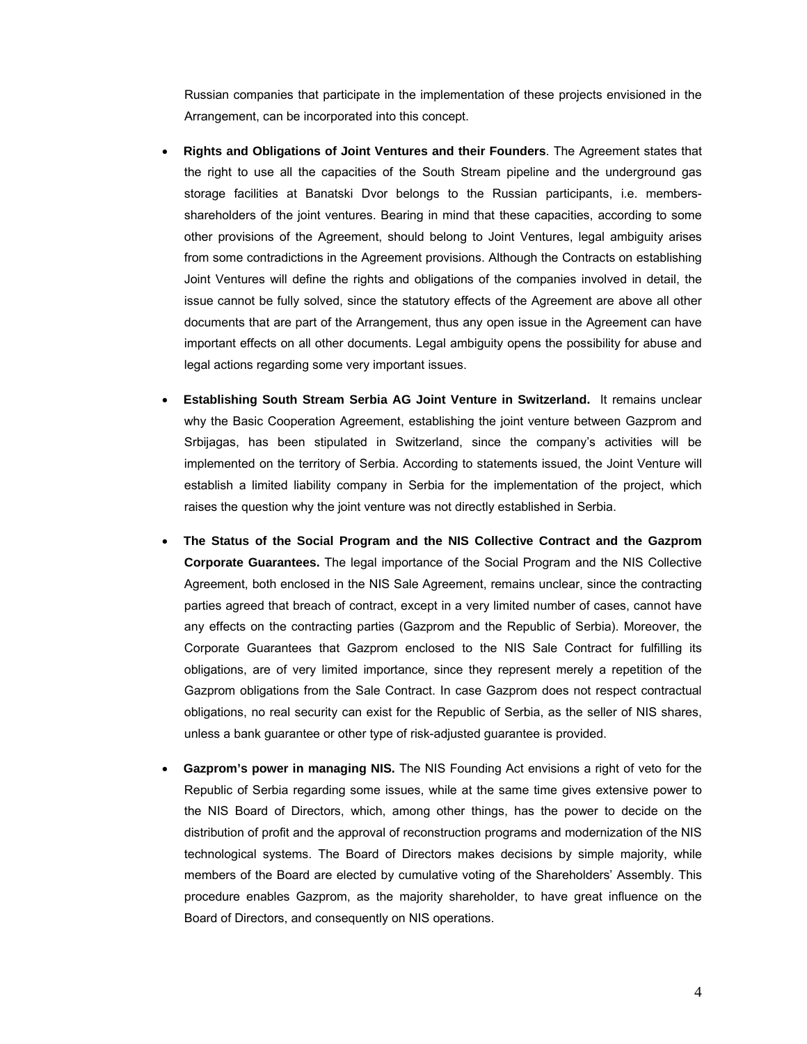Russian companies that participate in the implementation of these projects envisioned in the Arrangement, can be incorporated into this concept.

- **Rights and Obligations of Joint Ventures and their Founders**. The Agreement states that the right to use all the capacities of the South Stream pipeline and the underground gas storage facilities at Banatski Dvor belongs to the Russian participants, i.e. membersshareholders of the joint ventures. Bearing in mind that these capacities, according to some other provisions of the Agreement, should belong to Joint Ventures, legal ambiguity arises from some contradictions in the Agreement provisions. Although the Contracts on establishing Joint Ventures will define the rights and obligations of the companies involved in detail, the issue cannot be fully solved, since the statutory effects of the Agreement are above all other documents that are part of the Arrangement, thus any open issue in the Agreement can have important effects on all other documents. Legal ambiguity opens the possibility for abuse and legal actions regarding some very important issues.
- **Establishing South Stream Serbia AG Joint Venture in Switzerland.** It remains unclear why the Basic Cooperation Agreement, establishing the joint venture between Gazprom and Srbijagas, has been stipulated in Switzerland, since the company's activities will be implemented on the territory of Serbia. According to statements issued, the Joint Venture will establish a limited liability company in Serbia for the implementation of the project, which raises the question why the joint venture was not directly established in Serbia.
- **The Status of the Social Program and the NIS Collective Contract and the Gazprom Corporate Guarantees.** The legal importance of the Social Program and the NIS Collective Agreement, both enclosed in the NIS Sale Agreement, remains unclear, since the contracting parties agreed that breach of contract, except in a very limited number of cases, cannot have any effects on the contracting parties (Gazprom and the Republic of Serbia). Moreover, the Corporate Guarantees that Gazprom enclosed to the NIS Sale Contract for fulfilling its obligations, are of very limited importance, since they represent merely a repetition of the Gazprom obligations from the Sale Contract. In case Gazprom does not respect contractual obligations, no real security can exist for the Republic of Serbia, as the seller of NIS shares, unless a bank guarantee or other type of risk-adjusted guarantee is provided.
- **Gazprom's power in managing NIS.** The NIS Founding Act envisions a right of veto for the Republic of Serbia regarding some issues, while at the same time gives extensive power to the NIS Board of Directors, which, among other things, has the power to decide on the distribution of profit and the approval of reconstruction programs and modernization of the NIS technological systems. The Board of Directors makes decisions by simple majority, while members of the Board are elected by cumulative voting of the Shareholders' Assembly. This procedure enables Gazprom, as the majority shareholder, to have great influence on the Board of Directors, and consequently on NIS operations.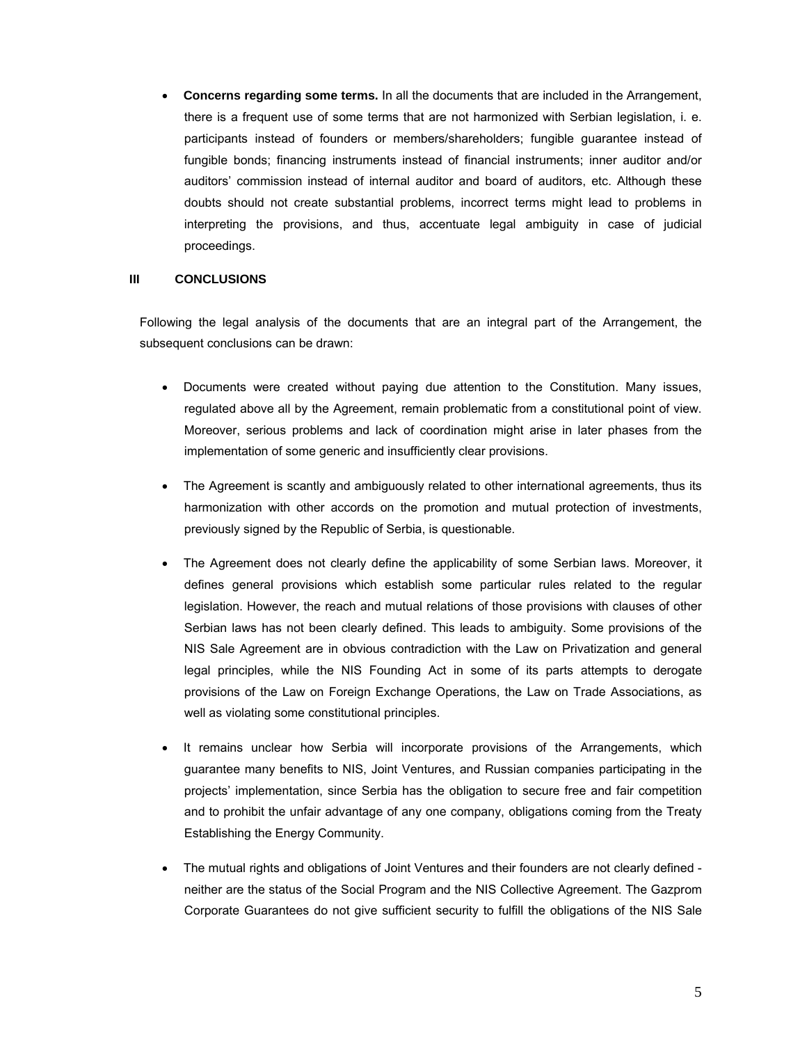• **Concerns regarding some terms.** In all the documents that are included in the Arrangement, there is a frequent use of some terms that are not harmonized with Serbian legislation, i. e. participants instead of founders or members/shareholders; fungible guarantee instead of fungible bonds; financing instruments instead of financial instruments; inner auditor and/or auditors' commission instead of internal auditor and board of auditors, etc. Although these doubts should not create substantial problems, incorrect terms might lead to problems in interpreting the provisions, and thus, accentuate legal ambiguity in case of judicial proceedings.

### **III CONCLUSIONS**

Following the legal analysis of the documents that are an integral part of the Arrangement, the subsequent conclusions can be drawn:

- Documents were created without paying due attention to the Constitution. Many issues, regulated above all by the Agreement, remain problematic from a constitutional point of view. Moreover, serious problems and lack of coordination might arise in later phases from the implementation of some generic and insufficiently clear provisions.
- The Agreement is scantly and ambiguously related to other international agreements, thus its harmonization with other accords on the promotion and mutual protection of investments, previously signed by the Republic of Serbia, is questionable.
- The Agreement does not clearly define the applicability of some Serbian laws. Moreover, it defines general provisions which establish some particular rules related to the regular legislation. However, the reach and mutual relations of those provisions with clauses of other Serbian laws has not been clearly defined. This leads to ambiguity. Some provisions of the NIS Sale Agreement are in obvious contradiction with the Law on Privatization and general legal principles, while the NIS Founding Act in some of its parts attempts to derogate provisions of the Law on Foreign Exchange Operations, the Law on Trade Associations, as well as violating some constitutional principles.
- It remains unclear how Serbia will incorporate provisions of the Arrangements, which guarantee many benefits to NIS, Joint Ventures, and Russian companies participating in the projects' implementation, since Serbia has the obligation to secure free and fair competition and to prohibit the unfair advantage of any one company, obligations coming from the Treaty Establishing the Energy Community.
- The mutual rights and obligations of Joint Ventures and their founders are not clearly defined neither are the status of the Social Program and the NIS Collective Agreement. The Gazprom Corporate Guarantees do not give sufficient security to fulfill the obligations of the NIS Sale